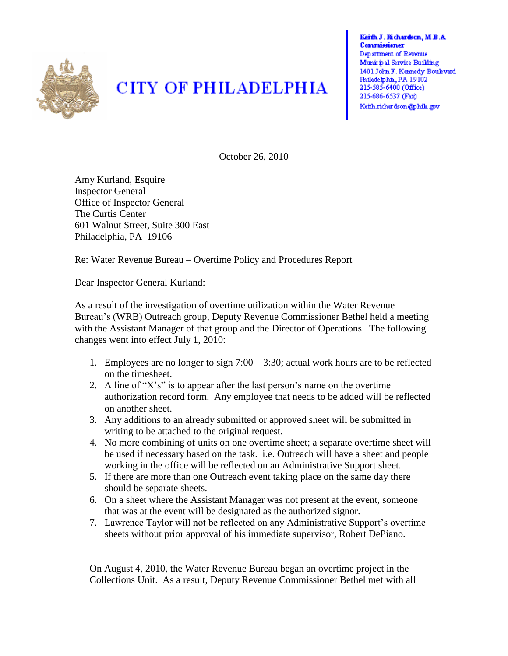

## **CITY OF PHILADELPHIA**

Keith J. Richardson, M.B.A. Commissioner Department of Revenue Municipal Service Building 1401 John F. Kennedy Boulevard Philadelphia, PA 19102 215-585-6400 (Office) 215-686-6537 (Fax) Keith richardson@phila.gov

October 26, 2010

Amy Kurland, Esquire Inspector General Office of Inspector General The Curtis Center 601 Walnut Street, Suite 300 East Philadelphia, PA 19106

Re: Water Revenue Bureau – Overtime Policy and Procedures Report

Dear Inspector General Kurland:

As a result of the investigation of overtime utilization within the Water Revenue Bureau's (WRB) Outreach group, Deputy Revenue Commissioner Bethel held a meeting with the Assistant Manager of that group and the Director of Operations. The following changes went into effect July 1, 2010:

- 1. Employees are no longer to sign 7:00 3:30; actual work hours are to be reflected on the timesheet.
- 2. A line of "X's" is to appear after the last person's name on the overtime authorization record form. Any employee that needs to be added will be reflected on another sheet.
- 3. Any additions to an already submitted or approved sheet will be submitted in writing to be attached to the original request.
- 4. No more combining of units on one overtime sheet; a separate overtime sheet will be used if necessary based on the task. i.e. Outreach will have a sheet and people working in the office will be reflected on an Administrative Support sheet.
- 5. If there are more than one Outreach event taking place on the same day there should be separate sheets.
- 6. On a sheet where the Assistant Manager was not present at the event, someone that was at the event will be designated as the authorized signor.
- 7. Lawrence Taylor will not be reflected on any Administrative Support's overtime sheets without prior approval of his immediate supervisor, Robert DePiano.

On August 4, 2010, the Water Revenue Bureau began an overtime project in the Collections Unit. As a result, Deputy Revenue Commissioner Bethel met with all